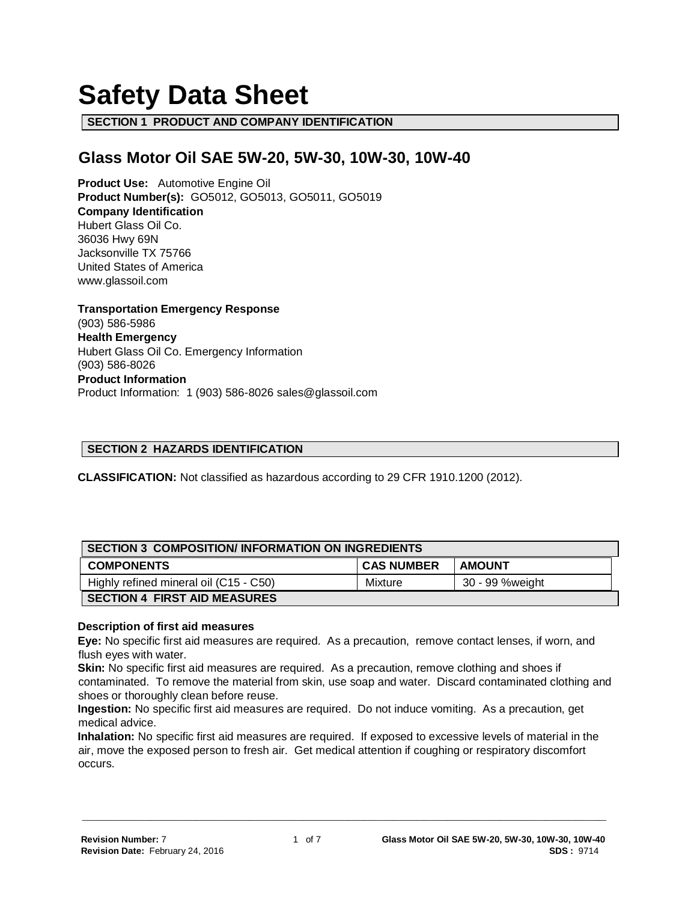# **Safety Data Sheet**

**SECTION 1 PRODUCT AND COMPANY IDENTIFICATION**

# **Glass Motor Oil SAE 5W-20, 5W-30, 10W-30, 10W-40**

**Product Use:** Automotive Engine Oil **Product Number(s):** GO5012, GO5013, GO5011, GO5019 **Company Identification** Hubert Glass Oil Co. 36036 Hwy 69N Jacksonville TX 75766 United States of America www.glassoil.com

**Transportation Emergency Response** (903) 586-5986 **Health Emergency** Hubert Glass Oil Co. Emergency Information (903) 586-8026 **Product Information**  Product Information: 1 (903) 586-8026 sales@glassoil.com

#### **SECTION 2 HAZARDS IDENTIFICATION**

**CLASSIFICATION:** Not classified as hazardous according to 29 CFR 1910.1200 (2012).

| <b>SECTION 3 COMPOSITION/INFORMATION ON INGREDIENTS</b> |                   |                 |  |  |
|---------------------------------------------------------|-------------------|-----------------|--|--|
| <b>COMPONENTS</b>                                       | <b>CAS NUMBER</b> | <b>AMOUNT</b>   |  |  |
| Highly refined mineral oil (C15 - C50)                  | Mixture           | 30 - 99 %weight |  |  |
| <b>SECTION 4 FIRST AID MEASURES</b>                     |                   |                 |  |  |

#### **Description of first aid measures**

**Eye:** No specific first aid measures are required. As a precaution, remove contact lenses, if worn, and flush eyes with water.

**Skin:** No specific first aid measures are required. As a precaution, remove clothing and shoes if contaminated. To remove the material from skin, use soap and water. Discard contaminated clothing and shoes or thoroughly clean before reuse.

**Ingestion:** No specific first aid measures are required. Do not induce vomiting. As a precaution, get medical advice.

**Inhalation:** No specific first aid measures are required. If exposed to excessive levels of material in the air, move the exposed person to fresh air. Get medical attention if coughing or respiratory discomfort occurs.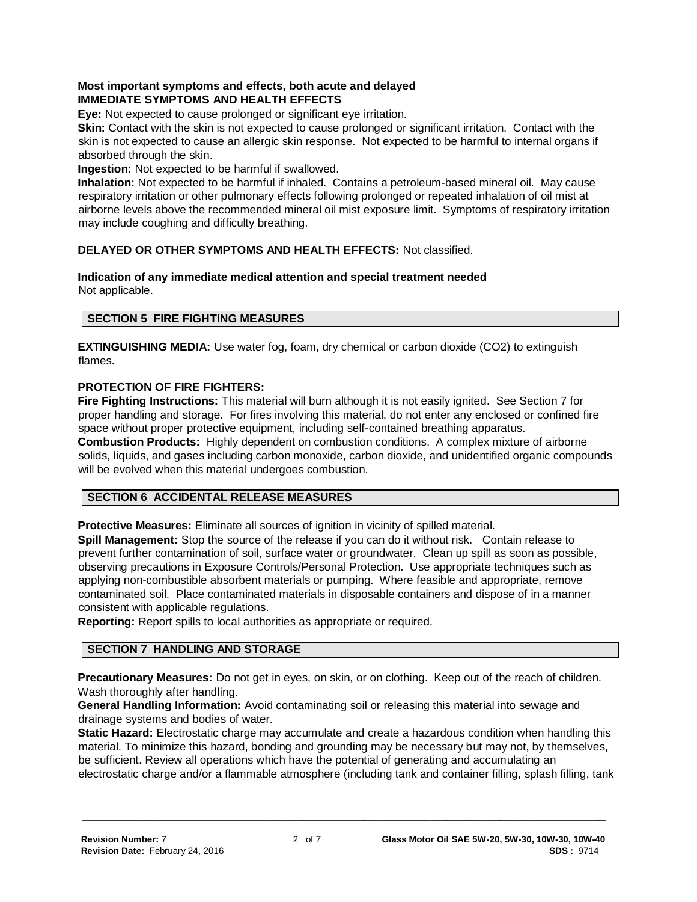# **Most important symptoms and effects, both acute and delayed IMMEDIATE SYMPTOMS AND HEALTH EFFECTS**

**Eye:** Not expected to cause prolonged or significant eye irritation.

**Skin:** Contact with the skin is not expected to cause prolonged or significant irritation. Contact with the skin is not expected to cause an allergic skin response. Not expected to be harmful to internal organs if absorbed through the skin.

#### **Ingestion:** Not expected to be harmful if swallowed.

**Inhalation:** Not expected to be harmful if inhaled. Contains a petroleum-based mineral oil. May cause respiratory irritation or other pulmonary effects following prolonged or repeated inhalation of oil mist at airborne levels above the recommended mineral oil mist exposure limit. Symptoms of respiratory irritation may include coughing and difficulty breathing.

# **DELAYED OR OTHER SYMPTOMS AND HEALTH EFFECTS:** Not classified.

#### **Indication of any immediate medical attention and special treatment needed**  Not applicable.

# **SECTION 5 FIRE FIGHTING MEASURES**

**EXTINGUISHING MEDIA:** Use water fog, foam, dry chemical or carbon dioxide (CO2) to extinguish flames.

#### **PROTECTION OF FIRE FIGHTERS:**

**Fire Fighting Instructions:** This material will burn although it is not easily ignited. See Section 7 for proper handling and storage. For fires involving this material, do not enter any enclosed or confined fire space without proper protective equipment, including self-contained breathing apparatus. **Combustion Products:** Highly dependent on combustion conditions. A complex mixture of airborne solids, liquids, and gases including carbon monoxide, carbon dioxide, and unidentified organic compounds will be evolved when this material undergoes combustion.

#### **SECTION 6 ACCIDENTAL RELEASE MEASURES**

**Protective Measures:** Eliminate all sources of ignition in vicinity of spilled material.

**Spill Management:** Stop the source of the release if you can do it without risk. Contain release to prevent further contamination of soil, surface water or groundwater. Clean up spill as soon as possible, observing precautions in Exposure Controls/Personal Protection. Use appropriate techniques such as applying non-combustible absorbent materials or pumping. Where feasible and appropriate, remove contaminated soil. Place contaminated materials in disposable containers and dispose of in a manner consistent with applicable regulations.

**Reporting:** Report spills to local authorities as appropriate or required.

#### **SECTION 7 HANDLING AND STORAGE**

**Precautionary Measures:** Do not get in eyes, on skin, or on clothing. Keep out of the reach of children. Wash thoroughly after handling.

**General Handling Information:** Avoid contaminating soil or releasing this material into sewage and drainage systems and bodies of water.

**Static Hazard:** Electrostatic charge may accumulate and create a hazardous condition when handling this material. To minimize this hazard, bonding and grounding may be necessary but may not, by themselves, be sufficient. Review all operations which have the potential of generating and accumulating an electrostatic charge and/or a flammable atmosphere (including tank and container filling, splash filling, tank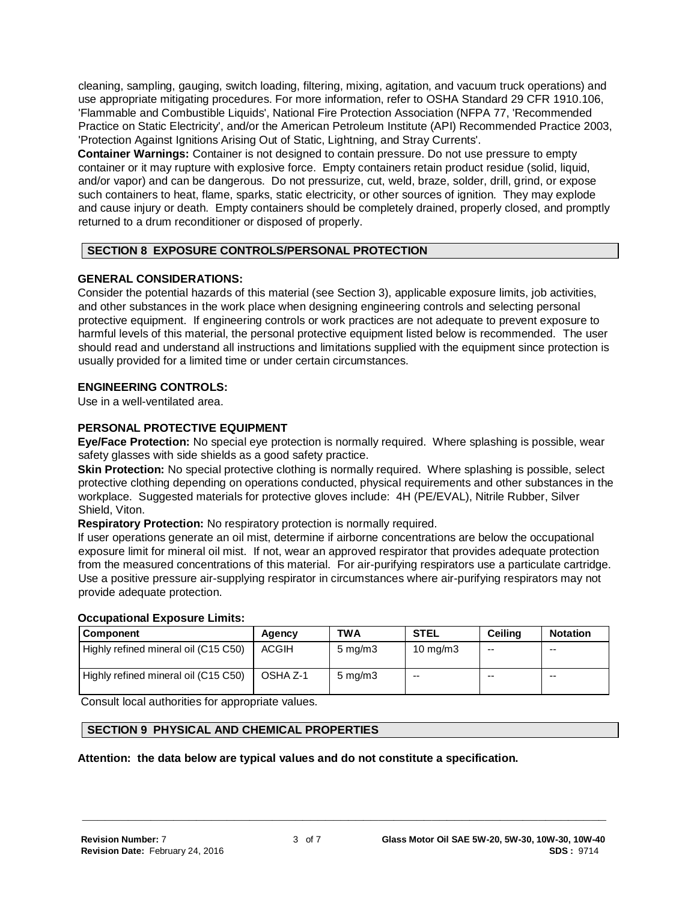cleaning, sampling, gauging, switch loading, filtering, mixing, agitation, and vacuum truck operations) and use appropriate mitigating procedures. For more information, refer to OSHA Standard 29 CFR 1910.106, 'Flammable and Combustible Liquids', National Fire Protection Association (NFPA 77, 'Recommended Practice on Static Electricity', and/or the American Petroleum Institute (API) Recommended Practice 2003, 'Protection Against Ignitions Arising Out of Static, Lightning, and Stray Currents'.

**Container Warnings:** Container is not designed to contain pressure. Do not use pressure to empty container or it may rupture with explosive force. Empty containers retain product residue (solid, liquid, and/or vapor) and can be dangerous. Do not pressurize, cut, weld, braze, solder, drill, grind, or expose such containers to heat, flame, sparks, static electricity, or other sources of ignition. They may explode and cause injury or death. Empty containers should be completely drained, properly closed, and promptly returned to a drum reconditioner or disposed of properly.

# **SECTION 8 EXPOSURE CONTROLS/PERSONAL PROTECTION**

#### **GENERAL CONSIDERATIONS:**

Consider the potential hazards of this material (see Section 3), applicable exposure limits, job activities, and other substances in the work place when designing engineering controls and selecting personal protective equipment. If engineering controls or work practices are not adequate to prevent exposure to harmful levels of this material, the personal protective equipment listed below is recommended. The user should read and understand all instructions and limitations supplied with the equipment since protection is usually provided for a limited time or under certain circumstances.

#### **ENGINEERING CONTROLS:**

Use in a well-ventilated area.

#### **PERSONAL PROTECTIVE EQUIPMENT**

**Eye/Face Protection:** No special eye protection is normally required. Where splashing is possible, wear safety glasses with side shields as a good safety practice.

**Skin Protection:** No special protective clothing is normally required. Where splashing is possible, select protective clothing depending on operations conducted, physical requirements and other substances in the workplace. Suggested materials for protective gloves include: 4H (PE/EVAL), Nitrile Rubber, Silver Shield, Viton.

**Respiratory Protection:** No respiratory protection is normally required.

If user operations generate an oil mist, determine if airborne concentrations are below the occupational exposure limit for mineral oil mist. If not, wear an approved respirator that provides adequate protection from the measured concentrations of this material. For air-purifying respirators use a particulate cartridge. Use a positive pressure air-supplying respirator in circumstances where air-purifying respirators may not provide adequate protection.

#### **Occupational Exposure Limits:**

| Component                            | Agency       | <b>TWA</b>         | <b>STEL</b>       | Ceiling | <b>Notation</b> |
|--------------------------------------|--------------|--------------------|-------------------|---------|-----------------|
| Highly refined mineral oil (C15 C50) | <b>ACGIH</b> | $5 \text{ mg/m}$ 3 | $10 \text{ mg/m}$ | --      | --              |
| Highly refined mineral oil (C15 C50) | OSHA Z-1     | $5 \text{ mg/m}$   | --                | --      | $- -$           |

**\_\_\_\_\_\_\_\_\_\_\_\_\_\_\_\_\_\_\_\_\_\_\_\_\_\_\_\_\_\_\_\_\_\_\_\_\_\_\_\_\_\_\_\_\_\_\_\_\_\_\_\_\_\_\_\_\_\_\_\_\_\_\_\_\_\_\_\_\_**

Consult local authorities for appropriate values.

# **SECTION 9 PHYSICAL AND CHEMICAL PROPERTIES**

#### **Attention: the data below are typical values and do not constitute a specification.**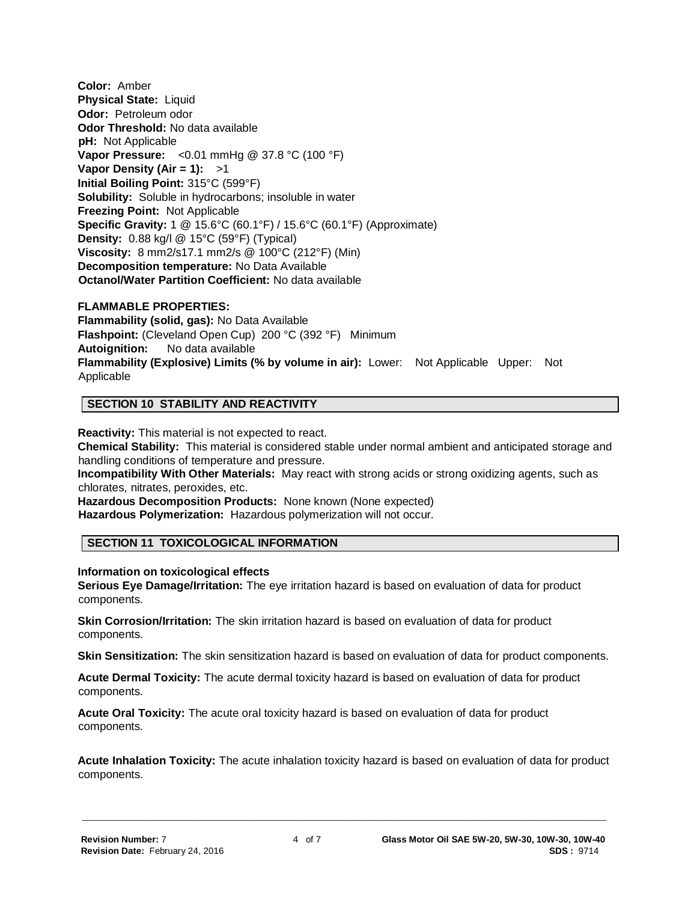**Color:** Amber **Physical State:** Liquid **Odor:** Petroleum odor **Odor Threshold:** No data available **pH:** Not Applicable **Vapor Pressure:** <0.01 mmHg @ 37.8 °C (100 °F) **Vapor Density (Air = 1):** >1 **Initial Boiling Point:** 315°C (599°F) **Solubility:** Soluble in hydrocarbons; insoluble in water **Freezing Point:** Not Applicable **Specific Gravity:** 1 @ 15.6°C (60.1°F) / 15.6°C (60.1°F) (Approximate) **Density:** 0.88 kg/l @ 15°C (59°F) (Typical) **Viscosity:** 8 mm2/s17.1 mm2/s @ 100°C (212°F) (Min) **Decomposition temperature:** No Data Available **Octanol/Water Partition Coefficient:** No data available

#### **FLAMMABLE PROPERTIES:**

**Flammability (solid, gas):** No Data Available **Flashpoint:** (Cleveland Open Cup) 200 °C (392 °F) Minimum **Autoignition:** No data available **Flammability (Explosive) Limits (% by volume in air):** Lower: Not Applicable Upper: Not Applicable

# **SECTION 10 STABILITY AND REACTIVITY**

**Reactivity:** This material is not expected to react.

**Chemical Stability:** This material is considered stable under normal ambient and anticipated storage and handling conditions of temperature and pressure.

**Incompatibility With Other Materials:** May react with strong acids or strong oxidizing agents, such as chlorates, nitrates, peroxides, etc.

**Hazardous Decomposition Products:** None known (None expected) **Hazardous Polymerization:** Hazardous polymerization will not occur.

#### **SECTION 11 TOXICOLOGICAL INFORMATION**

#### **Information on toxicological effects**

**Serious Eye Damage/Irritation:** The eye irritation hazard is based on evaluation of data for product components.

**Skin Corrosion/Irritation:** The skin irritation hazard is based on evaluation of data for product components.

**Skin Sensitization:** The skin sensitization hazard is based on evaluation of data for product components.

**Acute Dermal Toxicity:** The acute dermal toxicity hazard is based on evaluation of data for product components.

**Acute Oral Toxicity:** The acute oral toxicity hazard is based on evaluation of data for product components.

**Acute Inhalation Toxicity:** The acute inhalation toxicity hazard is based on evaluation of data for product components.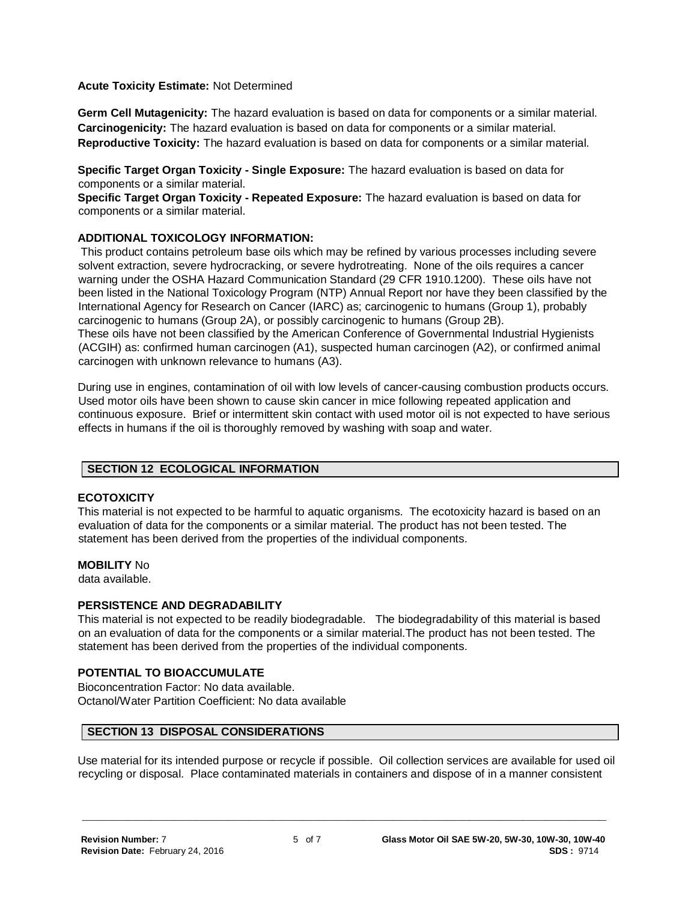#### **Acute Toxicity Estimate:** Not Determined

**Germ Cell Mutagenicity:** The hazard evaluation is based on data for components or a similar material. **Carcinogenicity:** The hazard evaluation is based on data for components or a similar material. **Reproductive Toxicity:** The hazard evaluation is based on data for components or a similar material.

**Specific Target Organ Toxicity - Single Exposure:** The hazard evaluation is based on data for components or a similar material.

**Specific Target Organ Toxicity - Repeated Exposure:** The hazard evaluation is based on data for components or a similar material.

#### **ADDITIONAL TOXICOLOGY INFORMATION:**

This product contains petroleum base oils which may be refined by various processes including severe solvent extraction, severe hydrocracking, or severe hydrotreating. None of the oils requires a cancer warning under the OSHA Hazard Communication Standard (29 CFR 1910.1200). These oils have not been listed in the National Toxicology Program (NTP) Annual Report nor have they been classified by the International Agency for Research on Cancer (IARC) as; carcinogenic to humans (Group 1), probably carcinogenic to humans (Group 2A), or possibly carcinogenic to humans (Group 2B). These oils have not been classified by the American Conference of Governmental Industrial Hygienists (ACGIH) as: confirmed human carcinogen (A1), suspected human carcinogen (A2), or confirmed animal carcinogen with unknown relevance to humans (A3).

During use in engines, contamination of oil with low levels of cancer-causing combustion products occurs. Used motor oils have been shown to cause skin cancer in mice following repeated application and continuous exposure. Brief or intermittent skin contact with used motor oil is not expected to have serious effects in humans if the oil is thoroughly removed by washing with soap and water.

#### **SECTION 12 ECOLOGICAL INFORMATION**

#### **ECOTOXICITY**

This material is not expected to be harmful to aquatic organisms. The ecotoxicity hazard is based on an evaluation of data for the components or a similar material. The product has not been tested. The statement has been derived from the properties of the individual components.

#### **MOBILITY** No

data available.

#### **PERSISTENCE AND DEGRADABILITY**

This material is not expected to be readily biodegradable. The biodegradability of this material is based on an evaluation of data for the components or a similar material.The product has not been tested. The statement has been derived from the properties of the individual components.

# **POTENTIAL TO BIOACCUMULATE**

Bioconcentration Factor: No data available. Octanol/Water Partition Coefficient: No data available

#### **SECTION 13 DISPOSAL CONSIDERATIONS**

Use material for its intended purpose or recycle if possible. Oil collection services are available for used oil recycling or disposal. Place contaminated materials in containers and dispose of in a manner consistent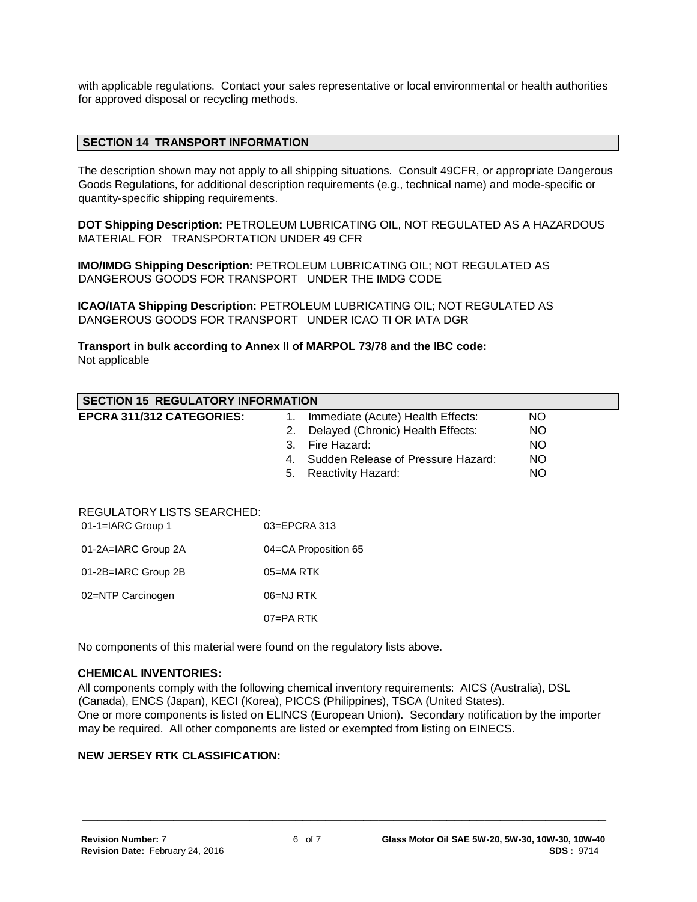with applicable regulations. Contact your sales representative or local environmental or health authorities for approved disposal or recycling methods.

#### **SECTION 14 TRANSPORT INFORMATION**

The description shown may not apply to all shipping situations. Consult 49CFR, or appropriate Dangerous Goods Regulations, for additional description requirements (e.g., technical name) and mode-specific or quantity-specific shipping requirements.

**DOT Shipping Description:** PETROLEUM LUBRICATING OIL, NOT REGULATED AS A HAZARDOUS MATERIAL FOR TRANSPORTATION UNDER 49 CFR

**IMO/IMDG Shipping Description:** PETROLEUM LUBRICATING OIL; NOT REGULATED AS DANGEROUS GOODS FOR TRANSPORT UNDER THE IMDG CODE

**ICAO/IATA Shipping Description:** PETROLEUM LUBRICATING OIL; NOT REGULATED AS DANGEROUS GOODS FOR TRANSPORT UNDER ICAO TI OR IATA DGR

**Transport in bulk according to Annex II of MARPOL 73/78 and the IBC code:** Not applicable

| <b>SECTION 15 REGULATORY INFORMATION</b>                               |                                          |           |  |  |
|------------------------------------------------------------------------|------------------------------------------|-----------|--|--|
| <b>EPCRA 311/312 CATEGORIES:</b>                                       | Immediate (Acute) Health Effects:<br>1.  | NO.       |  |  |
|                                                                        | Delayed (Chronic) Health Effects:<br>2.  | <b>NO</b> |  |  |
|                                                                        | Fire Hazard:<br>3.                       | <b>NO</b> |  |  |
|                                                                        | Sudden Release of Pressure Hazard:<br>4. | <b>NO</b> |  |  |
|                                                                        | <b>Reactivity Hazard:</b><br>5.          | <b>NO</b> |  |  |
| <b>REGULATORY LISTS SEARCHED:</b><br>03=EPCRA 313<br>01-1=IARC Group 1 |                                          |           |  |  |
| 01-2A=IARC Group 2A                                                    | 04=CA Proposition 65                     |           |  |  |
| 01-2B=IARC Group 2B                                                    | $05 = MA$ RTK                            |           |  |  |
| 02=NTP Carcinogen                                                      | 06=NJ RTK                                |           |  |  |
|                                                                        | $07 = PA$ RTK                            |           |  |  |

No components of this material were found on the regulatory lists above.

#### **CHEMICAL INVENTORIES:**

All components comply with the following chemical inventory requirements: AICS (Australia), DSL (Canada), ENCS (Japan), KECI (Korea), PICCS (Philippines), TSCA (United States). One or more components is listed on ELINCS (European Union). Secondary notification by the importer may be required. All other components are listed or exempted from listing on EINECS.

**\_\_\_\_\_\_\_\_\_\_\_\_\_\_\_\_\_\_\_\_\_\_\_\_\_\_\_\_\_\_\_\_\_\_\_\_\_\_\_\_\_\_\_\_\_\_\_\_\_\_\_\_\_\_\_\_\_\_\_\_\_\_\_\_\_\_\_\_\_**

#### **NEW JERSEY RTK CLASSIFICATION:**